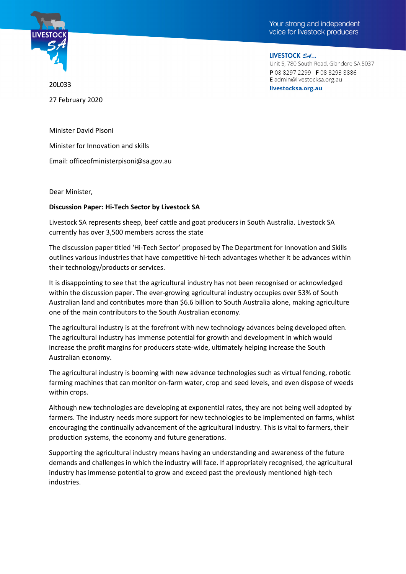



LIVESTOCK SA... Unit 5, 780 South Road, Glandore SA 5037 P 08 8297 2299 F 08 8293 8886 E admin@livestocksa.org.au livestocksa.org.au

20L033 27 February 2020

Minister David Pisoni

Minister for Innovation and skills

Email: officeofministerpisoni@sa.gov.au

Dear Minister,

## **Discussion Paper: Hi-Tech Sector by Livestock SA**

Livestock SA represents sheep, beef cattle and goat producers in South Australia. Livestock SA currently has over 3,500 members across the state

The discussion paper titled 'Hi-Tech Sector' proposed by The Department for Innovation and Skills outlines various industries that have competitive hi-tech advantages whether it be advances within their technology/products or services.

It is disappointing to see that the agricultural industry has not been recognised or acknowledged within the discussion paper. The ever-growing agricultural industry occupies over 53% of South Australian land and contributes more than \$6.6 billion to South Australia alone, making agriculture one of the main contributors to the South Australian economy.

The agricultural industry is at the forefront with new technology advances being developed often. The agricultural industry has immense potential for growth and development in which would increase the profit margins for producers state-wide, ultimately helping increase the South Australian economy.

The agricultural industry is booming with new advance technologies such as virtual fencing, robotic farming machines that can monitor on-farm water, crop and seed levels, and even dispose of weeds within crops.

Although new technologies are developing at exponential rates, they are not being well adopted by farmers. The industry needs more support for new technologies to be implemented on farms, whilst encouraging the continually advancement of the agricultural industry. This is vital to farmers, their production systems, the economy and future generations.

Supporting the agricultural industry means having an understanding and awareness of the future demands and challenges in which the industry will face. If appropriately recognised, the agricultural industry has immense potential to grow and exceed past the previously mentioned high-tech industries.